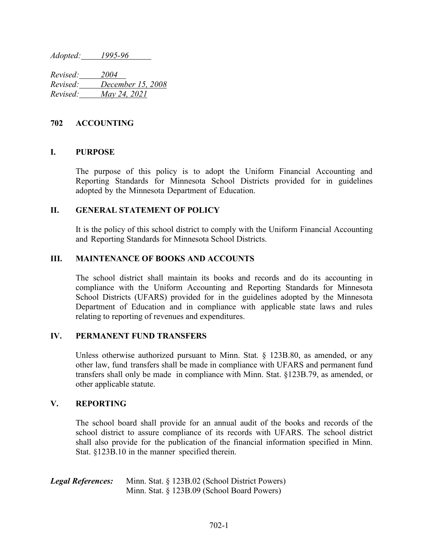*Adopted: 1995-96*

*Revised: 2004 Revised: December 15, 2008 Revised: May 24, 2021*

## **702 ACCOUNTING**

# **I. PURPOSE**

The purpose of this policy is to adopt the Uniform Financial Accounting and Reporting Standards for Minnesota School Districts provided for in guidelines adopted by the Minnesota Department of Education.

### **II. GENERAL STATEMENT OF POLICY**

It is the policy of this school district to comply with the Uniform Financial Accounting and Reporting Standards for Minnesota School Districts.

### **III. MAINTENANCE OF BOOKS AND ACCOUNTS**

The school district shall maintain its books and records and do its accounting in compliance with the Uniform Accounting and Reporting Standards for Minnesota School Districts (UFARS) provided for in the guidelines adopted by the Minnesota Department of Education and in compliance with applicable state laws and rules relating to reporting of revenues and expenditures.

#### **IV. PERMANENT FUND TRANSFERS**

Unless otherwise authorized pursuant to Minn. Stat. § 123B.80, as amended, or any other law, fund transfers shall be made in compliance with UFARS and permanent fund transfers shall only be made in compliance with Minn. Stat. §123B.79, as amended, or other applicable statute.

### **V. REPORTING**

The school board shall provide for an annual audit of the books and records of the school district to assure compliance of its records with UFARS. The school district shall also provide for the publication of the financial information specified in Minn. Stat. §123B.10 in the manner specified therein.

| <b>Legal References:</b> | Minn. Stat. § 123B.02 (School District Powers) |
|--------------------------|------------------------------------------------|
|                          | Minn. Stat. § 123B.09 (School Board Powers)    |